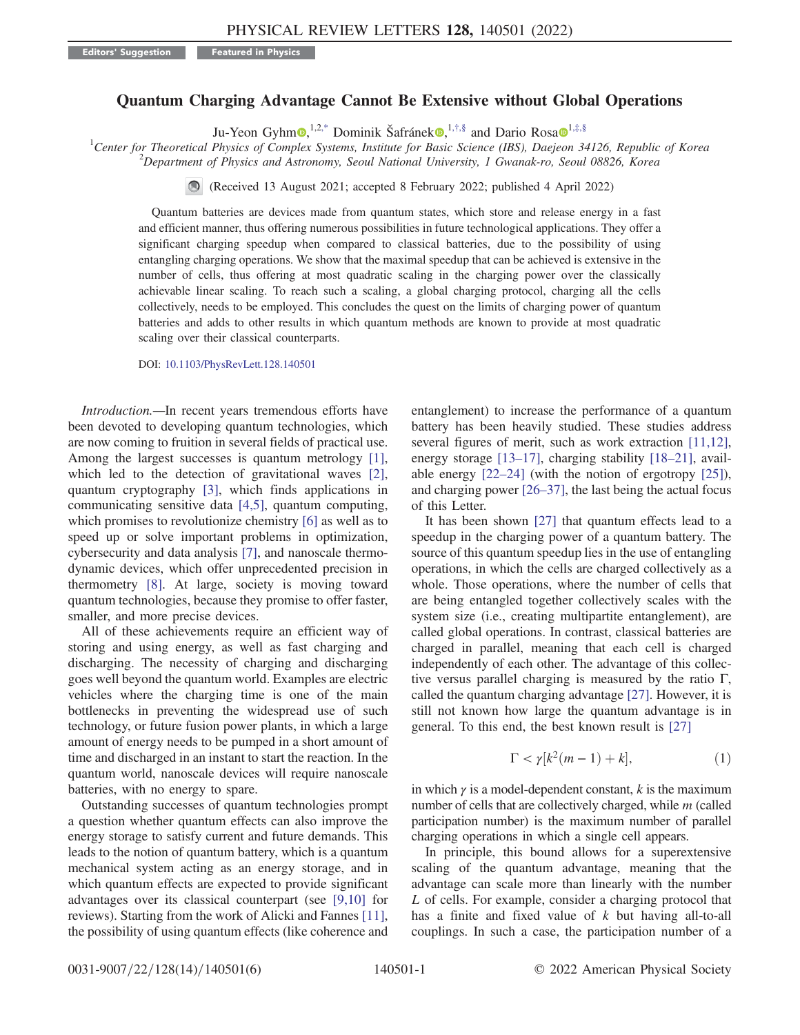## Quantum Charging Advantage Cannot Be Extensive without Global Operations

Ju-Yeon Gyhm $\mathbf{Q},^{1,2,*}$  $\mathbf{Q},^{1,2,*}$  $\mathbf{Q},^{1,2,*}$  Dominik Šafránek $\mathbf{Q},^{1,†,§}$  $\mathbf{Q},^{1,†,§}$  $\mathbf{Q},^{1,†,§}$  and Dario Rosa $\mathbf{Q}^{1,‡,\$}$  $\mathbf{Q}^{1,‡,\$}$  $\mathbf{Q}^{1,‡,\$}$ 

<span id="page-0-0"></span><sup>1</sup>Center for Theoretical Physics of Complex Systems, Institute for Basic Science (IBS), Daejeon 34126, Republic of Korea <sup>2</sup> Danartment of Physics and Astronomy, Seaul National University, J. Cygnals ro, Seaul 08826, Kore  $12P^2$ Department of Physics and Astronomy, Seoul National University, 1 Gwanak-ro, Seoul 08826, Korea

(Received 13 August 2021; accepted 8 February 2022; published 4 April 2022)

Quantum batteries are devices made from quantum states, which store and release energy in a fast and efficient manner, thus offering numerous possibilities in future technological applications. They offer a significant charging speedup when compared to classical batteries, due to the possibility of using entangling charging operations. We show that the maximal speedup that can be achieved is extensive in the number of cells, thus offering at most quadratic scaling in the charging power over the classically achievable linear scaling. To reach such a scaling, a global charging protocol, charging all the cells collectively, needs to be employed. This concludes the quest on the limits of charging power of quantum batteries and adds to other results in which quantum methods are known to provide at most quadratic scaling over their classical counterparts.

DOI: [10.1103/PhysRevLett.128.140501](https://doi.org/10.1103/PhysRevLett.128.140501)

Introduction.—In recent years tremendous efforts have been devoted to developing quantum technologies, which are now coming to fruition in several fields of practical use. Among the largest successes is quantum metrology [[1](#page-4-3)], which led to the detection of gravitational waves [[2](#page-4-4)], quantum cryptography [[3\]](#page-4-5), which finds applications in communicating sensitive data [[4](#page-4-6),[5\]](#page-4-7), quantum computing, which promises to revolutionize chemistry [[6\]](#page-4-8) as well as to speed up or solve important problems in optimization, cybersecurity and data analysis [\[7\]](#page-4-9), and nanoscale thermodynamic devices, which offer unprecedented precision in thermometry [[8\]](#page-4-10). At large, society is moving toward quantum technologies, because they promise to offer faster, smaller, and more precise devices.

All of these achievements require an efficient way of storing and using energy, as well as fast charging and discharging. The necessity of charging and discharging goes well beyond the quantum world. Examples are electric vehicles where the charging time is one of the main bottlenecks in preventing the widespread use of such technology, or future fusion power plants, in which a large amount of energy needs to be pumped in a short amount of time and discharged in an instant to start the reaction. In the quantum world, nanoscale devices will require nanoscale batteries, with no energy to spare.

Outstanding successes of quantum technologies prompt a question whether quantum effects can also improve the energy storage to satisfy current and future demands. This leads to the notion of quantum battery, which is a quantum mechanical system acting as an energy storage, and in which quantum effects are expected to provide significant advantages over its classical counterpart (see [\[9,](#page-4-11)[10\]](#page-4-12) for reviews). Starting from the work of Alicki and Fannes [[11](#page-4-13)], the possibility of using quantum effects (like coherence and

entanglement) to increase the performance of a quantum battery has been heavily studied. These studies address several figures of merit, such as work extraction [\[11,](#page-4-13)[12](#page-4-14)], energy storage [\[13](#page-4-15)–[17](#page-5-0)], charging stability [[18](#page-5-1)–[21](#page-5-2)], available energy [\[22](#page-5-3)–[24](#page-5-4)] (with the notion of ergotropy [\[25\]](#page-5-5)), and charging power [[26](#page-5-6)–[37](#page-5-7)], the last being the actual focus of this Letter.

It has been shown [\[27\]](#page-5-8) that quantum effects lead to a speedup in the charging power of a quantum battery. The source of this quantum speedup lies in the use of entangling operations, in which the cells are charged collectively as a whole. Those operations, where the number of cells that are being entangled together collectively scales with the system size (i.e., creating multipartite entanglement), are called global operations. In contrast, classical batteries are charged in parallel, meaning that each cell is charged independently of each other. The advantage of this collective versus parallel charging is measured by the ratio  $\Gamma$ , called the quantum charging advantage [\[27\]](#page-5-8). However, it is still not known how large the quantum advantage is in general. To this end, the best known result is [\[27\]](#page-5-8)

$$
\Gamma < \gamma[k^2(m-1) + k],\tag{1}
$$

in which  $\gamma$  is a model-dependent constant, k is the maximum number of cells that are collectively charged, while m (called participation number) is the maximum number of parallel charging operations in which a single cell appears.

In principle, this bound allows for a superextensive scaling of the quantum advantage, meaning that the advantage can scale more than linearly with the number L of cells. For example, consider a charging protocol that has a finite and fixed value of k but having all-to-all couplings. In such a case, the participation number of a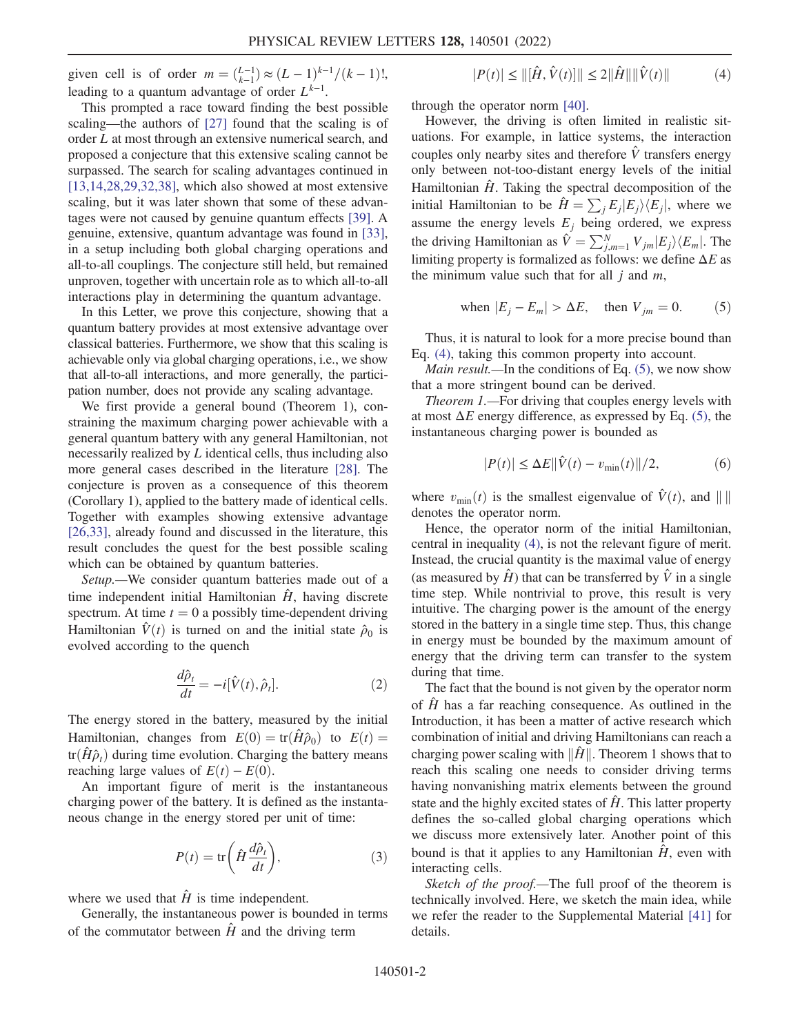given cell is of order  $m = \binom{L-1}{k-1} \approx (L-1)^{k-1}/(k-1)!$ , leading to a quantum advantage of order  $L^{k-1}$ .

This prompted a race toward finding the best possible scaling—the authors of [\[27](#page-5-8)] found that the scaling is of order L at most through an extensive numerical search, and proposed a conjecture that this extensive scaling cannot be surpassed. The search for scaling advantages continued in  $[13, 14, 28, 29, 32, 38]$  $[13, 14, 28, 29, 32, 38]$  $[13, 14, 28, 29, 32, 38]$  $[13, 14, 28, 29, 32, 38]$  $[13, 14, 28, 29, 32, 38]$  $[13, 14, 28, 29, 32, 38]$  $[13, 14, 28, 29, 32, 38]$  $[13, 14, 28, 29, 32, 38]$  $[13, 14, 28, 29, 32, 38]$  $[13, 14, 28, 29, 32, 38]$ , which also showed at most extensive scaling, but it was later shown that some of these advantages were not caused by genuine quantum effects [[39](#page-5-14)]. A genuine, extensive, quantum advantage was found in [[33](#page-5-15)], in a setup including both global charging operations and all-to-all couplings. The conjecture still held, but remained unproven, together with uncertain role as to which all-to-all interactions play in determining the quantum advantage.

In this Letter, we prove this conjecture, showing that a quantum battery provides at most extensive advantage over classical batteries. Furthermore, we show that this scaling is achievable only via global charging operations, i.e., we show that all-to-all interactions, and more generally, the participation number, does not provide any scaling advantage.

We first provide a general bound (Theorem 1), constraining the maximum charging power achievable with a general quantum battery with any general Hamiltonian, not necessarily realized by L identical cells, thus including also more general cases described in the literature [[28](#page-5-10)]. The conjecture is proven as a consequence of this theorem (Corollary 1), applied to the battery made of identical cells. Together with examples showing extensive advantage [\[26](#page-5-6)[,33\]](#page-5-15), already found and discussed in the literature, this result concludes the quest for the best possible scaling which can be obtained by quantum batteries.

<span id="page-1-2"></span>Setup.—We consider quantum batteries made out of a time independent initial Hamiltonian  $\hat{H}$ , having discrete spectrum. At time  $t = 0$  a possibly time-dependent driving Hamiltonian  $\hat{V}(t)$  is turned on and the initial state  $\hat{\rho}_0$  is evolved according to the quench

$$
\frac{d\hat{\rho}_t}{dt} = -i[\hat{V}(t), \hat{\rho}_t].
$$
\n(2)

The energy stored in the battery, measured by the initial Hamiltonian, changes from  $E(0) = \text{tr}(\hat{H}\hat{\rho}_0)$  to  $E(t) =$  $tr(\hat{H}\hat{\rho}_t)$  during time evolution. Charging the battery means reaching large values of  $E(t) - E(0)$ .

<span id="page-1-3"></span>An important figure of merit is the instantaneous charging power of the battery. It is defined as the instantaneous change in the energy stored per unit of time:

$$
P(t) = \text{tr}\left(\hat{H}\frac{d\hat{\rho}_t}{dt}\right),\tag{3}
$$

where we used that  $\hat{H}$  is time independent.

<span id="page-1-0"></span>Generally, the instantaneous power is bounded in terms of the commutator between  $\hat{H}$  and the driving term

$$
|P(t)| \le ||[\hat{H}, \hat{V}(t)]|| \le 2||\hat{H}|| ||\hat{V}(t)|| \tag{4}
$$

through the operator norm [[40](#page-5-16)].

However, the driving is often limited in realistic situations. For example, in lattice systems, the interaction couples only nearby sites and therefore  $\hat{V}$  transfers energy only between not-too-distant energy levels of the initial Hamiltonian  $\hat{H}$ . Taking the spectral decomposition of the initial Hamiltonian to be  $\hat{H} = \sum_{i} E_{i} |E_{i}\rangle \langle E_{i}|$ , where we assume the energy levels  $E_j$  being ordered, we express the driving Hamiltonian as  $\hat{V} = \sum_{j,m=1}^{N} V_{jm} |E_j\rangle\langle E_m|$ . The limiting property is formalized as follows: we define A E as limiting property is formalized as follows: we define  $\Delta E$  as the minimum value such that for all  $j$  and  $m$ ,

<span id="page-1-1"></span>when 
$$
|E_j - E_m| > \Delta E
$$
, then  $V_{jm} = 0$ . (5)

Thus, it is natural to look for a more precise bound than Eq. [\(4\),](#page-1-0) taking this common property into account.

*Main result*.—In the conditions of Eq.  $(5)$ , we now show that a more stringent bound can be derived.

Theorem 1.—For driving that couples energy levels with at most  $\Delta E$  energy difference, as expressed by Eq. [\(5\),](#page-1-1) the instantaneous charging power is bounded as

$$
|P(t)| \le \Delta E ||\hat{V}(t) - v_{\min}(t)||/2, \tag{6}
$$

where  $v_{\text{min}}(t)$  is the smallest eigenvalue of  $\hat{V}(t)$ , and  $\|\|\$ denotes the operator norm.

Hence, the operator norm of the initial Hamiltonian, central in inequality [\(4\),](#page-1-0) is not the relevant figure of merit. Instead, the crucial quantity is the maximal value of energy (as measured by  $\hat{H}$ ) that can be transferred by  $\hat{V}$  in a single time step. While nontrivial to prove, this result is very intuitive. The charging power is the amount of the energy stored in the battery in a single time step. Thus, this change in energy must be bounded by the maximum amount of energy that the driving term can transfer to the system during that time.

The fact that the bound is not given by the operator norm of  $\hat{H}$  has a far reaching consequence. As outlined in the Introduction, it has been a matter of active research which combination of initial and driving Hamiltonians can reach a charging power scaling with  $\|\hat{H}\|$ . Theorem 1 shows that to reach this scaling one needs to consider driving terms having nonvanishing matrix elements between the ground state and the highly excited states of  $\hat{H}$ . This latter property defines the so-called global charging operations which we discuss more extensively later. Another point of this bound is that it applies to any Hamiltonian  $\hat{H}$ , even with interacting cells.

Sketch of the proof.—The full proof of the theorem is technically involved. Here, we sketch the main idea, while we refer the reader to the Supplemental Material [\[41\]](#page-5-17) for details.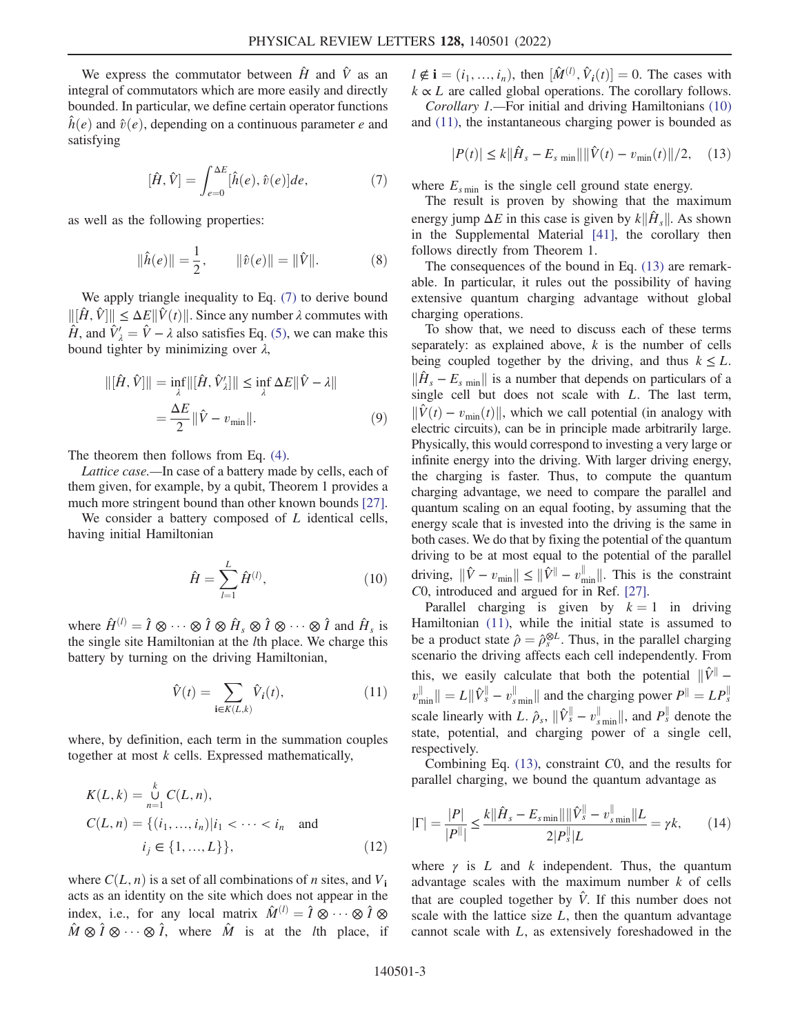<span id="page-2-0"></span>We express the commutator between  $\hat{H}$  and  $\hat{V}$  as an integral of commutators which are more easily and directly bounded. In particular, we define certain operator functions  $\hat{h}(e)$  and  $\hat{v}(e)$ , depending on a continuous parameter e and satisfying

$$
[\hat{H}, \hat{V}] = \int_{e=0}^{\Delta E} [\hat{h}(e), \hat{v}(e)] de, \tag{7}
$$

as well as the following properties:

$$
\|\hat{h}(e)\| = \frac{1}{2}, \qquad \|\hat{v}(e)\| = \|\hat{V}\|.
$$
 (8)

We apply triangle inequality to Eq. [\(7\)](#page-2-0) to derive bound  $||[\hat{H}, \hat{V}]|| \le \Delta E ||\hat{V}(t)||$ . Since any number  $\lambda$  commutes with  $\hat{H}$  and  $\hat{V}' - \hat{V}$  as also astisfies Eq. (5), we can make this  $\hat{H}$ , and  $\hat{V}'_{\lambda} = \hat{V} - \lambda$  also satisfies Eq. [\(5\)](#page-1-1), we can make this bound tighter by minimizing over  $\lambda$ bound tighter by minimizing over  $\lambda$ ,

$$
\|[\hat{H}, \hat{V}]\| = \inf_{\lambda} \|[\hat{H}, \hat{V}'_{\lambda}]\| \le \inf_{\lambda} \Delta E \|\hat{V} - \lambda\|
$$

$$
= \frac{\Delta E}{2} \|\hat{V} - v_{\min}\|.
$$
 (9)

The theorem then follows from Eq. [\(4\)](#page-1-0).

Lattice case.—In case of a battery made by cells, each of them given, for example, by a qubit, Theorem 1 provides a much more stringent bound than other known bounds [[27](#page-5-8)].

<span id="page-2-1"></span>We consider a battery composed of  $L$  identical cells, having initial Hamiltonian

$$
\hat{H} = \sum_{l=1}^{L} \hat{H}^{(l)},
$$
\n(10)

<span id="page-2-2"></span>where  $\hat{H}^{(l)} = \hat{I} \otimes \cdots \otimes \hat{I} \otimes \hat{H}_s \otimes \hat{I} \otimes \cdots \otimes \hat{I}$  and  $\hat{H}_s$  is the single site Hamiltonian at the *l*th place. We charge this the single site Hamiltonian at the lth place. We charge this battery by turning on the driving Hamiltonian,

$$
\hat{V}(t) = \sum_{\mathbf{i} \in K(L,k)} \hat{V}_i(t),\tag{11}
$$

where, by definition, each term in the summation couples together at most  $k$  cells. Expressed mathematically,

$$
K(L, k) = \bigcup_{n=1}^{k} C(L, n),
$$
  
\n
$$
C(L, n) = \{(i_1, ..., i_n)|i_1 < \dots < i_n \text{ and } i_j \in \{1, ..., L\}\},
$$
\n(12)

where  $C(L, n)$  is a set of all combinations of n sites, and  $V_i$ acts as an identity on the site which does not appear in the index, i.e., for any local matrix  $\hat{M}^{(l)} = \hat{I} \otimes \cdots \otimes \hat{I} \otimes \hat{I} \otimes \hat{I} \otimes \cdots \otimes \hat{I} \otimes \hat{I}$  $\hat{M} \otimes \hat{I} \otimes \cdots \otimes \hat{I}$ , where  $\hat{M}$  is at the *l*th place, if

 $l \notin \mathbf{i} = (i_1, ..., i_n)$ , then  $[\hat{M}^{(l)}, \hat{V}_i(t)] = 0$ . The cases with  $k \propto I$  are called global operations. The corollary follows  $k \propto L$  are called global operations. The corollary follows. Corollary 1.—For initial and driving Hamiltonians [\(10\)](#page-2-1)

<span id="page-2-3"></span>and [\(11\),](#page-2-2) the instantaneous charging power is bounded as

$$
|P(t)| \le k ||\hat{H}_s - E_{s\min}|| ||\hat{V}(t) - v_{\min}(t)||/2, \quad (13)
$$

where  $E_{s \text{min}}$  is the single cell ground state energy.

The result is proven by showing that the maximum energy jump  $\Delta E$  in this case is given by  $k\|\hat{H}_s\|$ . As shown in the Supplemental Material [[41](#page-5-17)], the corollary then follows directly from Theorem 1.

The consequences of the bound in Eq. [\(13\)](#page-2-3) are remarkable. In particular, it rules out the possibility of having extensive quantum charging advantage without global charging operations.

To show that, we need to discuss each of these terms separately: as explained above,  $k$  is the number of cells being coupled together by the driving, and thus  $k \leq L$ .  $\|\hat{H}_s - E_s\|$  is a number that depends on particulars of a single cell but does not scale with L. The last term,  $\|\hat{V}(t) - v_{\text{min}}(t)\|$ , which we call potential (in analogy with electric circuits), can be in principle made arbitrarily large. Physically, this would correspond to investing a very large or infinite energy into the driving. With larger driving energy, the charging is faster. Thus, to compute the quantum charging advantage, we need to compare the parallel and quantum scaling on an equal footing, by assuming that the energy scale that is invested into the driving is the same in both cases. We do that by fixing the potential of the quantum driving to be at most equal to the potential of the parallel driving,  $\|\hat{V} - v_{\text{min}}\| \le \|\hat{V} - v_{\text{min}}\|$ . This is the constraint  $C_0$  introduced and argued for in Ref. [27] C0, introduced and argued for in Ref. [\[27\]](#page-5-8).

Parallel charging is given by  $k = 1$  in driving Hamiltonian [\(11\),](#page-2-2) while the initial state is assumed to be a product state  $\hat{\rho} = \hat{\rho}_s^{\otimes L}$ . Thus, in the parallel charging scenario the driving affects each cell independently. From this, we easily calculate that both the potential  $\|\hat{V}^{\parallel}$  $v_{\text{min}}^{\parallel} \| = L \|\hat{V}_{s}^{\parallel} - v_{s_{\text{min}}}^{\parallel} \|$  and the charging power  $P^{\parallel} = L P_{s}^{\parallel}$ scale linearly with L.  $\hat{\rho}_s$ ,  $\|\hat{V}_s^{\parallel} - v_{smin}^{\parallel}\|$ , and  $P_s^{\parallel}$  denote the state, potential, and charging power of a single cell, respectively.

Combining Eq. [\(13\),](#page-2-3) constraint C0, and the results for parallel charging, we bound the quantum advantage as

$$
|\Gamma| = \frac{|P|}{|P^{\parallel}|} \le \frac{k||\hat{H}_s - E_{s\min}||\hat{V}_s^{\parallel} - v_{s\min}^{\parallel}||L}{2|P_s^{\parallel}|L} = \gamma k,
$$
 (14)

where  $\gamma$  is L and k independent. Thus, the quantum advantage scales with the maximum number  $k$  of cells that are coupled together by  $\hat{V}$ . If this number does not scale with the lattice size  $L$ , then the quantum advantage cannot scale with L, as extensively foreshadowed in the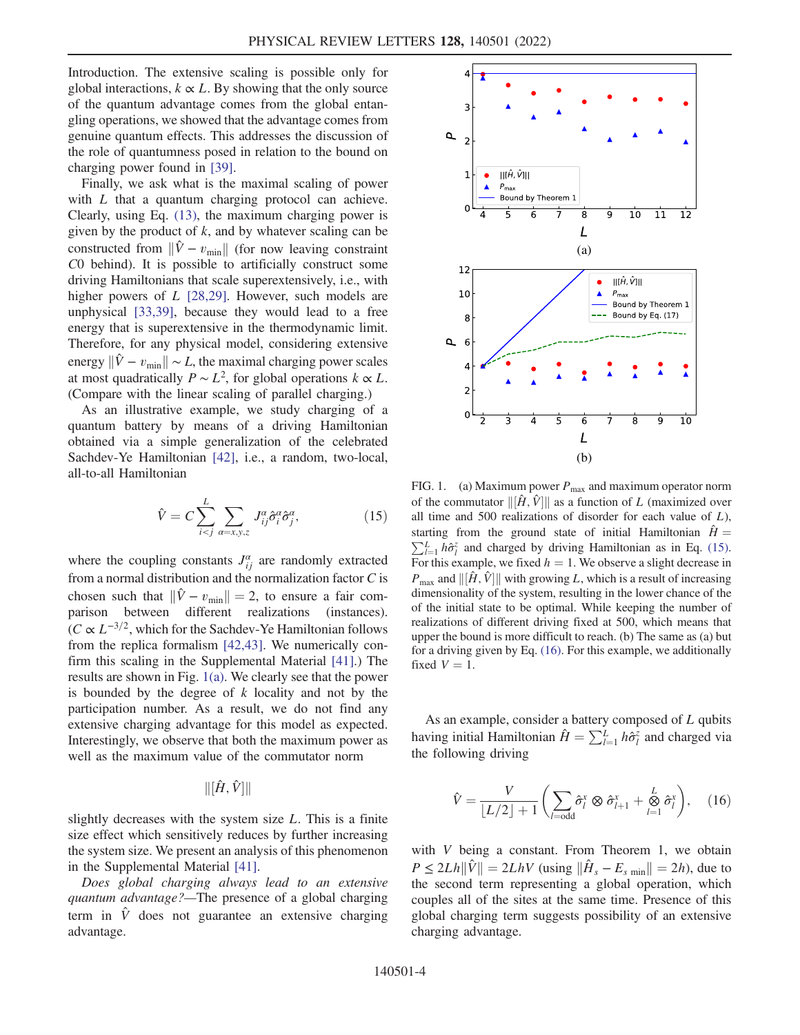Introduction. The extensive scaling is possible only for global interactions,  $k \propto L$ . By showing that the only source of the quantum advantage comes from the global entangling operations, we showed that the advantage comes from genuine quantum effects. This addresses the discussion of the role of quantumness posed in relation to the bound on charging power found in [[39](#page-5-14)].

Finally, we ask what is the maximal scaling of power with L that a quantum charging protocol can achieve. Clearly, using Eq. [\(13\),](#page-2-3) the maximum charging power is given by the product of  $k$ , and by whatever scaling can be constructed from  $\|\hat{V} - v_{\text{min}}\|$  (for now leaving constraint C0 behind). It is possible to artificially construct some driving Hamiltonians that scale superextensively, i.e., with higher powers of L [[28](#page-5-10),[29](#page-5-11)]. However, such models are unphysical [\[33,](#page-5-15)[39\]](#page-5-14), because they would lead to a free energy that is superextensive in the thermodynamic limit. Therefore, for any physical model, considering extensive energy  $\|\hat{V} - v_{\text{min}}\| \sim L$ , the maximal charging power scales at most quadratically  $P \sim L^2$ , for global operations  $k \propto L$ . (Compare with the linear scaling of parallel charging.)

<span id="page-3-1"></span>As an illustrative example, we study charging of a quantum battery by means of a driving Hamiltonian obtained via a simple generalization of the celebrated Sachdev-Ye Hamiltonian [\[42\]](#page-5-18), i.e., a random, two-local, all-to-all Hamiltonian

$$
\hat{V} = C \sum_{i < j}^{L} \sum_{a = x, y, z} J_{ij}^a \hat{\sigma}_i^a \hat{\sigma}_j^a,\tag{15}
$$

where the coupling constants  $J_{ii}^{\alpha}$  are randomly extracted from a normal distribution and the normalization factor  $C$  is chosen such that  $\|\hat{V} - v_{\text{min}}\| = 2$ , to ensure a fair comparison between different realizations (instances).  $(C \propto L^{-3/2})$ , which for the Sachdev-Ye Hamiltonian follows from the replica formalism [\[42](#page-5-18)[,43\]](#page-5-19). We numerically confirm this scaling in the Supplemental Material [\[41\]](#page-5-17).) The results are shown in Fig. [1\(a\)](#page-3-0). We clearly see that the power is bounded by the degree of k locality and not by the participation number. As a result, we do not find any extensive charging advantage for this model as expected. Interestingly, we observe that both the maximum power as well as the maximum value of the commutator norm

$$
\|[\hat{H},\hat{V}]\|
$$

slightly decreases with the system size  $L$ . This is a finite size effect which sensitively reduces by further increasing the system size. We present an analysis of this phenomenon in the Supplemental Material [[41](#page-5-17)].

Does global charging always lead to an extensive quantum advantage?—The presence of a global charging term in  $\hat{V}$  does not guarantee an extensive charging advantage.

<span id="page-3-0"></span>

FIG. 1. (a) Maximum power  $P_{\text{max}}$  and maximum operator norm of the commutator  $\|\left[\hat{H}, \hat{V}\right]\|$  as a function of L (maximized over<br>all time and 500 realizations of disorder for each value of L) all time and 500 realizations of disorder for each value of  $L$ ), starting from the ground state of initial Hamiltonian  $\hat{H} = \sum L_h \hat{\epsilon}_h^2$  and charged by driving Hamiltonian as in Eq. (15)  $\sum_{l=1}^{L} h\hat{\sigma}_l^z$  and charged by driving Hamiltonian as in Eq. [\(15\).](#page-3-1)<br>For this example, we fixed  $h = 1$ . We observe a slight decrease in For this example, we fixed  $h = 1$ . We observe a slight decrease in  $P_{\text{max}}$  and  $\|\hat{H}, \hat{V}\|$  with growing L, which is a result of increasing dimensionality of the system resulting in the lower chance of the dimensionality of the system, resulting in the lower chance of the of the initial state to be optimal. While keeping the number of realizations of different driving fixed at 500, which means that upper the bound is more difficult to reach. (b) The same as (a) but for a driving given by Eq. [\(16\).](#page-3-2) For this example, we additionally fixed  $V = 1$ .

<span id="page-3-2"></span>As an example, consider a battery composed of L qubits having initial Hamiltonian  $\hat{H} = \sum_{l=1}^{L} h \hat{\sigma}_l^z$  and charged via<br>the following driving the following driving

$$
\hat{V} = \frac{V}{\lfloor L/2 \rfloor + 1} \left( \sum_{l=\text{odd}} \hat{\sigma}_l^x \otimes \hat{\sigma}_{l+1}^x + \stackrel{L}{\underset{l=1}{\otimes}} \hat{\sigma}_l^x \right), \quad (16)
$$

with V being a constant. From Theorem 1, we obtain  $P \le 2Lh\|\hat{V}\| = 2LhV$  (using  $\|\hat{H}_s - E_s\| = 2h$ ), due to the second term representing a global operation, which couples all of the sites at the same time. Presence of this global charging term suggests possibility of an extensive charging advantage.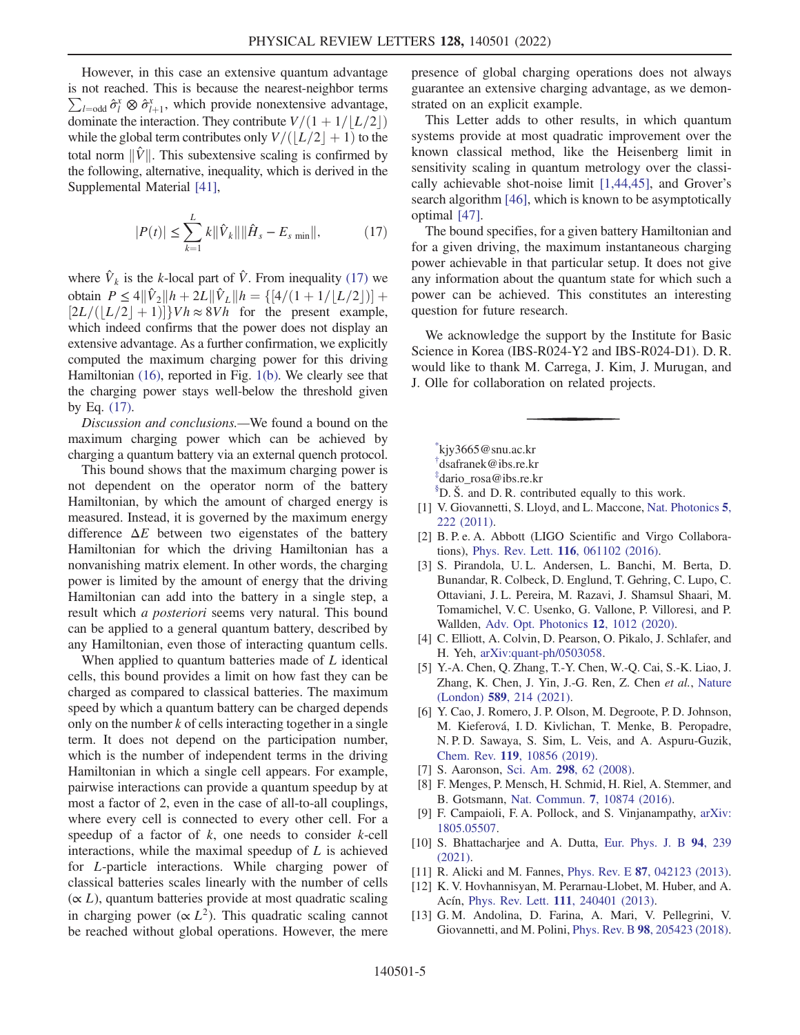However, in this case an extensive quantum advantage is not reached. This is because the nearest-neighbor terms  $\sum_{l=\text{odd}} \hat{\sigma}_l^x \otimes \hat{\sigma}_{l+1}^x$ , which provide nonextensive advantage, dominate the interaction. They contribute  $V/(1+1/|L/2|)$ while the global term contributes only  $V/((L/2 + 1)$  to the total norm  $\|\hat{V}\|$ . This subextensive scaling is confirmed by the following, alternative, inequality, which is derived in the Supplemental Material [[41\]](#page-5-17),

<span id="page-4-16"></span>
$$
|P(t)| \le \sum_{k=1}^{L} k \|\hat{V}_k\| \|\hat{H}_s - E_{s\min}\|,\tag{17}
$$

where  $\hat{V}_k$  is the k-local part of  $\hat{V}$ . From inequality [\(17\)](#page-4-16) we obtain  $P \le 4||\hat{V}_2||h + 2L||\hat{V}_L||h = \{[4/(1+1/|L/2|)] +$  $[2L/(\lfloor L/2 \rfloor + 1)]$   $Vh \approx 8Vh$  for the present example,<br>which indeed confirms that the power does not display an which indeed confirms that the power does not display an extensive advantage. As a further confirmation, we explicitly computed the maximum charging power for this driving Hamiltonian [\(16\),](#page-3-2) reported in Fig. [1\(b\).](#page-3-0) We clearly see that the charging power stays well-below the threshold given by Eq. [\(17\)](#page-4-16).

Discussion and conclusions.—We found a bound on the maximum charging power which can be achieved by charging a quantum battery via an external quench protocol.

This bound shows that the maximum charging power is not dependent on the operator norm of the battery Hamiltonian, by which the amount of charged energy is measured. Instead, it is governed by the maximum energy difference  $\Delta E$  between two eigenstates of the battery Hamiltonian for which the driving Hamiltonian has a nonvanishing matrix element. In other words, the charging power is limited by the amount of energy that the driving Hamiltonian can add into the battery in a single step, a result which a posteriori seems very natural. This bound can be applied to a general quantum battery, described by any Hamiltonian, even those of interacting quantum cells.

When applied to quantum batteries made of L identical cells, this bound provides a limit on how fast they can be charged as compared to classical batteries. The maximum speed by which a quantum battery can be charged depends only on the number  $k$  of cells interacting together in a single term. It does not depend on the participation number, which is the number of independent terms in the driving Hamiltonian in which a single cell appears. For example, pairwise interactions can provide a quantum speedup by at most a factor of 2, even in the case of all-to-all couplings, where every cell is connected to every other cell. For a speedup of a factor of  $k$ , one needs to consider  $k$ -cell interactions, while the maximal speedup of L is achieved for L-particle interactions. While charging power of classical batteries scales linearly with the number of cells  $(\propto L)$ , quantum batteries provide at most quadratic scaling in charging power ( $\propto L^2$ ). This quadratic scaling cannot be reached without global operations. However, the mere presence of global charging operations does not always guarantee an extensive charging advantage, as we demonstrated on an explicit example.

This Letter adds to other results, in which quantum systems provide at most quadratic improvement over the known classical method, like the Heisenberg limit in sensitivity scaling in quantum metrology over the classically achievable shot-noise limit [[1](#page-4-3)[,44](#page-5-20)[,45\]](#page-5-21), and Grover's search algorithm [[46](#page-5-22)], which is known to be asymptotically optimal [[47](#page-5-23)].

The bound specifies, for a given battery Hamiltonian and for a given driving, the maximum instantaneous charging power achievable in that particular setup. It does not give any information about the quantum state for which such a power can be achieved. This constitutes an interesting question for future research.

We acknowledge the support by the Institute for Basic Science in Korea (IBS-R024-Y2 and IBS-R024-D1). D. R. would like to thank M. Carrega, J. Kim, J. Murugan, and J. Olle for collaboration on related projects.

<span id="page-4-2"></span><span id="page-4-1"></span><span id="page-4-0"></span>[\\*](#page-0-0) kjy3665@snu.ac.kr [†](#page-0-0) dsafranek@ibs.re.kr

- [‡](#page-0-0) dario\_rosa@ibs.re.kr
- <span id="page-4-3"></span> ${}^{\$}D.$  Š. and D. R. contributed equally to this work.
- <span id="page-4-4"></span>[1] V. Giovannetti, S. Lloyd, and L. Maccone, [Nat. Photonics](https://doi.org/10.1038/nphoton.2011.35) 5, [222 \(2011\)](https://doi.org/10.1038/nphoton.2011.35).
- <span id="page-4-5"></span>[2] B. P. e. A. Abbott (LIGO Scientific and Virgo Collaborations), Phys. Rev. Lett. 116[, 061102 \(2016\).](https://doi.org/10.1103/PhysRevLett.116.061102)
- [3] S. Pirandola, U. L. Andersen, L. Banchi, M. Berta, D. Bunandar, R. Colbeck, D. Englund, T. Gehring, C. Lupo, C. Ottaviani, J. L. Pereira, M. Razavi, J. Shamsul Shaari, M. Tomamichel, V. C. Usenko, G. Vallone, P. Villoresi, and P. Wallden, [Adv. Opt. Photonics](https://doi.org/10.1364/AOP.361502) 12, 1012 (2020).
- <span id="page-4-7"></span><span id="page-4-6"></span>[4] C. Elliott, A. Colvin, D. Pearson, O. Pikalo, J. Schlafer, and H. Yeh, [arXiv:quant-ph/0503058](https://arXiv.org/abs/quant-ph/0503058).
- <span id="page-4-8"></span>[5] Y.-A. Chen, Q. Zhang, T.-Y. Chen, W.-Q. Cai, S.-K. Liao, J. Zhang, K. Chen, J. Yin, J.-G. Ren, Z. Chen et al., [Nature](https://doi.org/10.1038/s41586-020-03093-8) (London) 589[, 214 \(2021\)](https://doi.org/10.1038/s41586-020-03093-8).
- [6] Y. Cao, J. Romero, J. P. Olson, M. Degroote, P. D. Johnson, M. Kieferová, I. D. Kivlichan, T. Menke, B. Peropadre, N. P. D. Sawaya, S. Sim, L. Veis, and A. Aspuru-Guzik, Chem. Rev. 119[, 10856 \(2019\)](https://doi.org/10.1021/acs.chemrev.8b00803).
- <span id="page-4-10"></span><span id="page-4-9"></span>[7] S. Aaronson, Sci. Am. 298[, 62 \(2008\).](https://doi.org/10.1038/scientificamerican0308-62)
- <span id="page-4-11"></span>[8] F. Menges, P. Mensch, H. Schmid, H. Riel, A. Stemmer, and B. Gotsmann, Nat. Commun. 7[, 10874 \(2016\)](https://doi.org/10.1038/ncomms10874).
- <span id="page-4-12"></span>[9] F. Campaioli, F. A. Pollock, and S. Vinjanampathy, [arXiv:](https://arXiv.org/abs/1805.05507) [1805.05507.](https://arXiv.org/abs/1805.05507)
- <span id="page-4-14"></span><span id="page-4-13"></span>[10] S. Bhattacharjee and A. Dutta, [Eur. Phys. J. B](https://doi.org/10.1140/epjb/s10051-021-00235-3) 94, 239 [\(2021\).](https://doi.org/10.1140/epjb/s10051-021-00235-3)
- [11] R. Alicki and M. Fannes, *Phys. Rev. E* **87**[, 042123 \(2013\).](https://doi.org/10.1103/PhysRevE.87.042123)
- <span id="page-4-15"></span>[12] K. V. Hovhannisyan, M. Perarnau-Llobet, M. Huber, and A. Acín, Phys. Rev. Lett. 111[, 240401 \(2013\).](https://doi.org/10.1103/PhysRevLett.111.240401)
- [13] G. M. Andolina, D. Farina, A. Mari, V. Pellegrini, V. Giovannetti, and M. Polini, Phys. Rev. B 98[, 205423 \(2018\).](https://doi.org/10.1103/PhysRevB.98.205423)